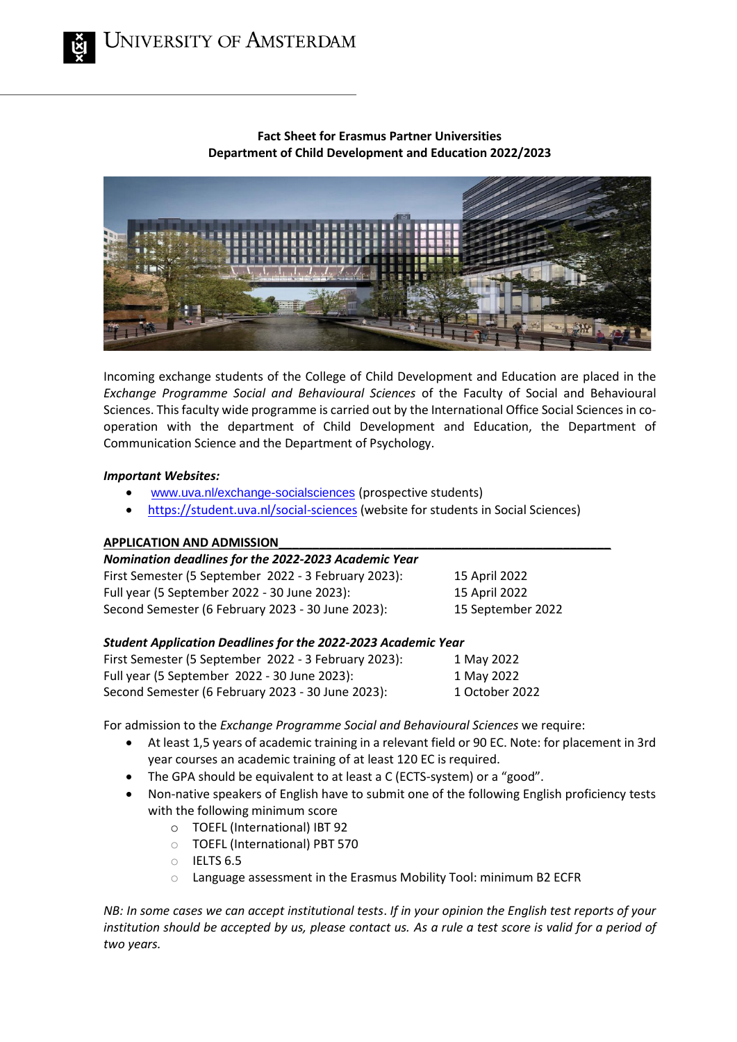# **Fact Sheet for Erasmus Partner Universities Department of Child Development and Education 2022/2023**



Incoming exchange students of the College of Child Development and Education are placed in the *Exchange Programme Social and Behavioural Sciences* of the Faculty of Social and Behavioural Sciences. This faculty wide programme is carried out by the International Office Social Sciences in cooperation with the department of Child Development and Education, the Department of Communication Science and the Department of Psychology.

# *Important Websites:*

- [www.uva.nl/exchange-socialsciences](http://www.uva.nl/exchange-socialsciences) (prospective students)
- <https://student.uva.nl/social-sciences> (website for students in Social Sciences)

# **APPLICATION AND ADMISSION\_\_\_\_\_\_\_\_\_\_\_\_\_\_\_\_\_\_\_\_\_\_\_\_\_\_\_\_\_\_\_\_\_\_\_\_\_\_\_\_\_\_\_\_\_\_\_\_\_**

| Nomination deadlines for the 2022-2023 Academic Year |                   |
|------------------------------------------------------|-------------------|
| First Semester (5 September 2022 - 3 February 2023): | 15 April 2022     |
| Full year (5 September 2022 - 30 June 2023):         | 15 April 2022     |
| Second Semester (6 February 2023 - 30 June 2023):    | 15 September 2022 |

# *Student Application Deadlines for the 2022‐2023 Academic Year*

| First Semester (5 September 2022 - 3 February 2023): | 1 May 2022     |
|------------------------------------------------------|----------------|
| Full year (5 September 2022 - 30 June 2023):         | 1 May 2022     |
| Second Semester (6 February 2023 - 30 June 2023):    | 1 October 2022 |

For admission to the *Exchange Programme Social and Behavioural Sciences* we require:

- At least 1,5 years of academic training in a relevant field or 90 EC. Note: for placement in 3rd year courses an academic training of at least 120 EC is required.
- The GPA should be equivalent to at least a C (ECTS-system) or a "good".
- Non-native speakers of English have to submit one of the following English proficiency tests with the following minimum score
	- o TOEFL (International) IBT 92
	- o TOEFL (International) PBT 570
	- $\circ$  IELTS 6.5
	- o Language assessment in the Erasmus Mobility Tool: minimum B2 ECFR

*NB: In some cases we can accept institutional tests*. *If in your opinion the English test reports of your institution should be accepted by us, please contact us. As a rule a test score is valid for a period of two years.*

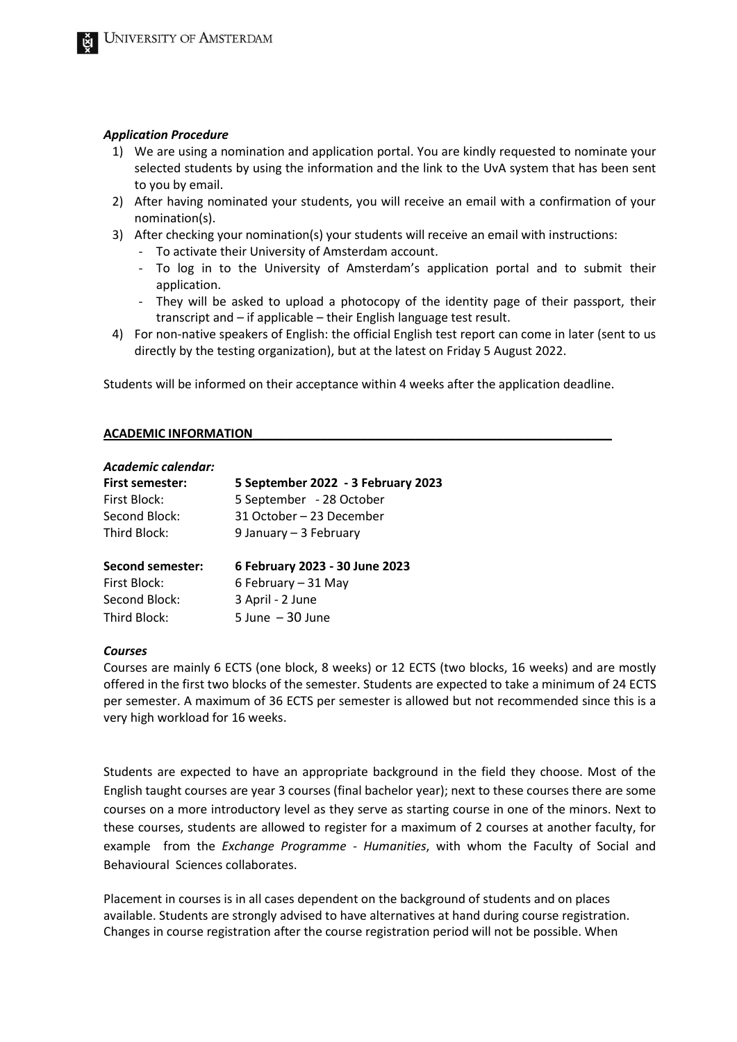#### *Application Procedure*

- 1) We are using a nomination and application portal. You are kindly requested to nominate your selected students by using the information and the link to the UvA system that has been sent to you by email.
- 2) After having nominated your students, you will receive an email with a confirmation of your nomination(s).
- 3) After checking your nomination(s) your students will receive an email with instructions:
	- To activate their University of Amsterdam account.
	- To log in to the University of Amsterdam's application portal and to submit their application.
	- They will be asked to upload a photocopy of the identity page of their passport, their transcript and – if applicable – their English language test result.
- 4) For non-native speakers of English: the official English test report can come in later (sent to us directly by the testing organization), but at the latest on Friday 5 August 2022.

Students will be informed on their acceptance within 4 weeks after the application deadline.

#### **ACADEMIC INFORMATION\_\_\_\_\_\_\_\_\_\_\_\_\_\_\_\_\_\_\_\_\_\_\_\_\_\_\_\_\_\_\_\_\_\_\_\_\_\_\_\_\_\_\_\_\_\_\_\_\_\_\_\_\_**

| Academic calendar:     |                                    |
|------------------------|------------------------------------|
| <b>First semester:</b> | 5 September 2022 - 3 February 2023 |
| First Block:           | 5 September - 28 October           |
| Second Block:          | 31 October – 23 December           |
| Third Block:           | 9 January - 3 February             |
| Second semester:       | 6 February 2023 - 30 June 2023     |
| First Block:           | 6 February - 31 May                |
| Second Block:          | 3 April - 2 June                   |
| Third Block:           | $5$ June $-30$ June                |

#### *Courses*

Courses are mainly 6 ECTS (one block, 8 weeks) or 12 ECTS (two blocks, 16 weeks) and are mostly offered in the first two blocks of the semester. Students are expected to take a minimum of 24 ECTS per semester. A maximum of 36 ECTS per semester is allowed but not recommended since this is a very high workload for 16 weeks.

Students are expected to have an appropriate background in the field they choose. Most of the English taught courses are year 3 courses (final bachelor year); next to these courses there are some courses on a more introductory level as they serve as starting course in one of the minors. Next to these courses, students are allowed to register for a maximum of 2 courses at another faculty, for example from the *Exchange Programme - Humanities*, with whom the Faculty of Social and Behavioural Sciences collaborates.

Placement in courses is in all cases dependent on the background of students and on places available. Students are strongly advised to have alternatives at hand during course registration. Changes in course registration after the course registration period will not be possible. When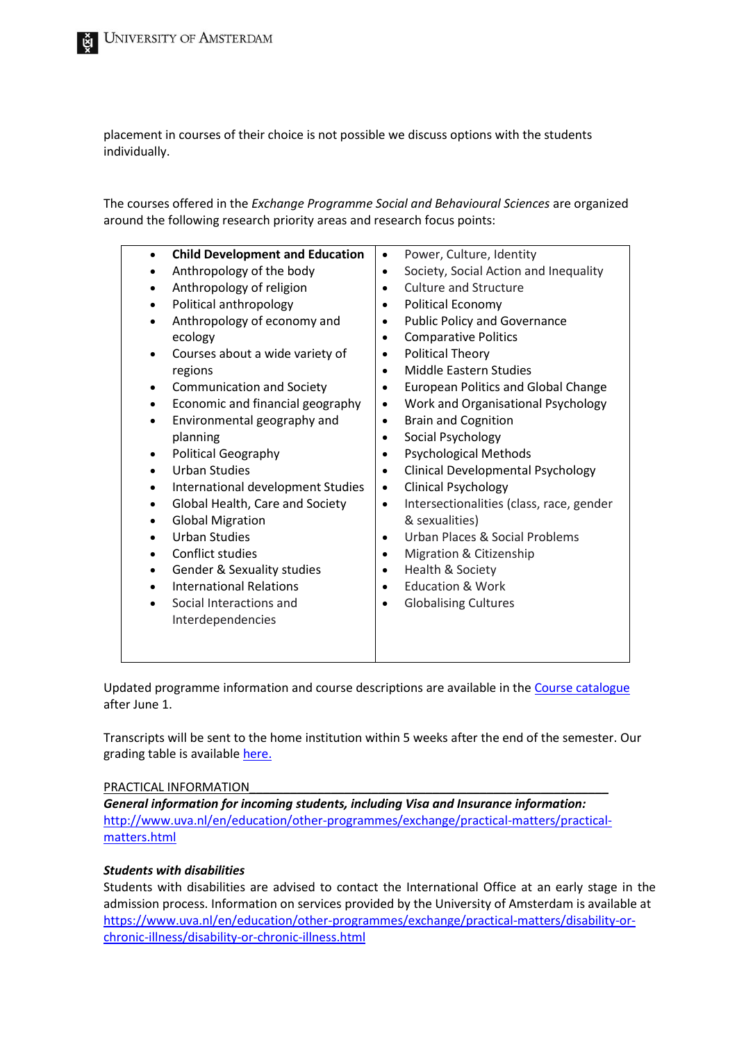placement in courses of their choice is not possible we discuss options with the students individually.

The courses offered in the *Exchange Programme Social and Behavioural Sciences* are organized around the following research priority areas and research focus points:

| <b>Child Development and Education</b><br>Anthropology of the body<br>Anthropology of religion<br>Political anthropology<br>Anthropology of economy and<br>ecology<br>Courses about a wide variety of<br>regions<br><b>Communication and Society</b><br>Economic and financial geography<br>Environmental geography and<br>planning<br>Political Geography<br><b>Urban Studies</b><br>International development Studies<br>Global Health, Care and Society<br><b>Global Migration</b><br><b>Urban Studies</b><br>Conflict studies<br><b>Gender &amp; Sexuality studies</b><br><b>International Relations</b><br>Social Interactions and<br>Interdependencies | Power, Culture, Identity<br>$\bullet$<br>Society, Social Action and Inequality<br>$\bullet$<br><b>Culture and Structure</b><br>$\bullet$<br>Political Economy<br>$\bullet$<br><b>Public Policy and Governance</b><br>$\bullet$<br><b>Comparative Politics</b><br>$\bullet$<br><b>Political Theory</b><br>$\bullet$<br><b>Middle Eastern Studies</b><br>$\bullet$<br><b>European Politics and Global Change</b><br>$\bullet$<br>Work and Organisational Psychology<br>$\bullet$<br><b>Brain and Cognition</b><br>$\bullet$<br>Social Psychology<br>$\bullet$<br><b>Psychological Methods</b><br>$\bullet$<br>Clinical Developmental Psychology<br>$\bullet$<br><b>Clinical Psychology</b><br>$\bullet$<br>Intersectionalities (class, race, gender<br>$\bullet$<br>& sexualities)<br>Urban Places & Social Problems<br>$\bullet$<br>Migration & Citizenship<br>$\bullet$<br>Health & Society<br>$\bullet$<br><b>Education &amp; Work</b><br>$\bullet$<br><b>Globalising Cultures</b><br>$\bullet$ |
|--------------------------------------------------------------------------------------------------------------------------------------------------------------------------------------------------------------------------------------------------------------------------------------------------------------------------------------------------------------------------------------------------------------------------------------------------------------------------------------------------------------------------------------------------------------------------------------------------------------------------------------------------------------|--------------------------------------------------------------------------------------------------------------------------------------------------------------------------------------------------------------------------------------------------------------------------------------------------------------------------------------------------------------------------------------------------------------------------------------------------------------------------------------------------------------------------------------------------------------------------------------------------------------------------------------------------------------------------------------------------------------------------------------------------------------------------------------------------------------------------------------------------------------------------------------------------------------------------------------------------------------------------------------------------|
|--------------------------------------------------------------------------------------------------------------------------------------------------------------------------------------------------------------------------------------------------------------------------------------------------------------------------------------------------------------------------------------------------------------------------------------------------------------------------------------------------------------------------------------------------------------------------------------------------------------------------------------------------------------|--------------------------------------------------------------------------------------------------------------------------------------------------------------------------------------------------------------------------------------------------------------------------------------------------------------------------------------------------------------------------------------------------------------------------------------------------------------------------------------------------------------------------------------------------------------------------------------------------------------------------------------------------------------------------------------------------------------------------------------------------------------------------------------------------------------------------------------------------------------------------------------------------------------------------------------------------------------------------------------------------|

Updated programme information and course descriptions are available in the [Course catalogue](https://studiegids.uva.nl/xmlpages/page/2020-2021-en/search-programme/programme/6234) after June 1.

Transcripts will be sent to the home institution within 5 weeks after the end of the semester. Our grading table is available [here.](https://student.uva.nl/en/content/az/grading-scheme/grading-scheme.html)

# PRACTICAL INFORMATION

*General information for incoming students, including Visa and Insurance information:* [http://www.uva.nl/en/education/other-programmes/exchange/practical-matters/practical](http://www.uva.nl/en/education/other-programmes/exchange/practical-matters/practical-matters.html)[matters.html](http://www.uva.nl/en/education/other-programmes/exchange/practical-matters/practical-matters.html)

# *Students with disabilities*

Students with disabilities are advised to contact the International Office at an early stage in the admission process. Information on services provided by the University of Amsterdam is available at [https://www.uva.nl/en/education/other-programmes/exchange/practical-matters/disability-or](https://www.uva.nl/en/education/other-programmes/exchange/practical-matters/disability-or-chronic-illness/disability-or-chronic-illness.html)[chronic-illness/disability-or-chronic-illness.html](https://www.uva.nl/en/education/other-programmes/exchange/practical-matters/disability-or-chronic-illness/disability-or-chronic-illness.html)